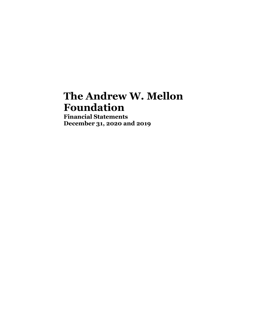# **The Andrew W. Mellon Foundation**

**Financial Statements December 31, 2020 and 2019**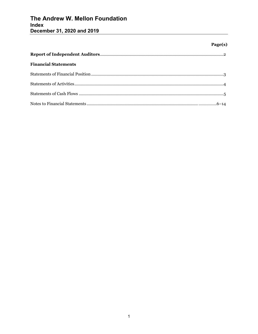# The Andrew W. Mellon Foundation Index December 31, 2020 and 2019

# Page(s)

| <b>Financial Statements</b> |  |
|-----------------------------|--|
|                             |  |
|                             |  |
|                             |  |
|                             |  |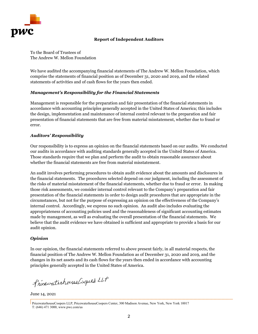

# **Report of Independent Auditors**

To the Board of Trustees of The Andrew W. Mellon Foundation

We have audited the accompanying financial statements of The Andrew W. Mellon Foundation, which comprise the statements of financial position as of December 31, 2020 and 2019, and the related statements of activities and of cash flows for the years then ended.

#### *Management's Responsibility for the Financial Statements*

Management is responsible for the preparation and fair presentation of the financial statements in accordance with accounting principles generally accepted in the United States of America; this includes the design, implementation and maintenance of internal control relevant to the preparation and fair presentation of financial statements that are free from material misstatement, whether due to fraud or error.

# *Auditors' Responsibility*

Our responsibility is to express an opinion on the financial statements based on our audits. We conducted our audits in accordance with auditing standards generally accepted in the United States of America. Those standards require that we plan and perform the audit to obtain reasonable assurance about whether the financial statements are free from material misstatement.

An audit involves performing procedures to obtain audit evidence about the amounts and disclosures in the financial statements. The procedures selected depend on our judgment, including the assessment of the risks of material misstatement of the financial statements, whether due to fraud or error. In making those risk assessments, we consider internal control relevant to the Company's preparation and fair presentation of the financial statements in order to design audit procedures that are appropriate in the circumstances, but not for the purpose of expressing an opinion on the effectiveness of the Company's internal control. Accordingly, we express no such opinion. An audit also includes evaluating the appropriateness of accounting policies used and the reasonableness of significant accounting estimates made by management, as well as evaluating the overall presentation of the financial statements. We believe that the audit evidence we have obtained is sufficient and appropriate to provide a basis for our audit opinion.

#### *Opinion*

In our opinion, the financial statements referred to above present fairly, in all material respects, the financial position of The Andrew W. Mellon Foundation as of December 31, 2020 and 2019, and the changes in its net assets and its cash flows for the years then ended in accordance with accounting principles generally accepted in the United States of America.

Pricewaterhouse Coopers LLP

June 14, 2021

 PricewaterhouseCoopers LLP, PricewaterhouseCoopers Center, 300 Madison Avenue, New York, New York 10017 T: (646) 471 3000, www.pwc.com/us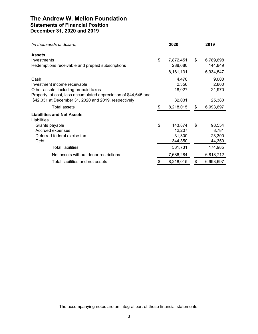# **The Andrew W. Mellon Foundation Statements of Financial Position December 31, 2020 and 2019**

| (in thousands of dollars)                                                                                                                         |    | 2020                                   | 2019                                      |
|---------------------------------------------------------------------------------------------------------------------------------------------------|----|----------------------------------------|-------------------------------------------|
| <b>Assets</b><br>Investments<br>Redemptions receivable and prepaid subscriptions                                                                  | \$ | 7,872,451<br>288,680                   | \$<br>6,789,698<br>144,849                |
|                                                                                                                                                   |    | 8,161,131                              | 6,934,547                                 |
| Cash<br>Investment income receivable<br>Other assets, including prepaid taxes<br>Property, at cost, less accumulated depreciation of \$44,645 and |    | 4,470<br>2,356<br>18,027               | 9,000<br>2,800<br>21,970                  |
| \$42,031 at December 31, 2020 and 2019, respectively                                                                                              |    | 32,031                                 | 25,380                                    |
| Total assets                                                                                                                                      | \$ | 8,218,015                              | \$<br>6,993,697                           |
| <b>Liabilities and Net Assets</b><br>Liabilities                                                                                                  |    |                                        |                                           |
| Grants payable<br>Accrued expenses<br>Deferred federal excise tax<br>Debt                                                                         | \$ | 143,874<br>12,207<br>31,300<br>344,350 | \$<br>98,554<br>8,781<br>23,300<br>44,350 |
| <b>Total liabilities</b>                                                                                                                          |    | 531,731                                | 174,985                                   |
| Net assets without donor restrictions                                                                                                             |    | 7,686,284                              | 6,818,712                                 |
| Total liabilities and net assets                                                                                                                  | S  | 8,218,015                              | \$<br>6,993,697                           |

The accompanying notes are an integral part of these financial statements.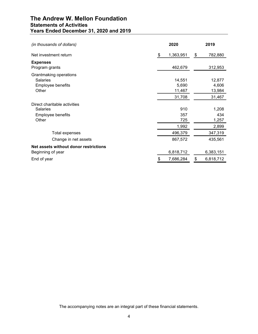# **The Andrew W. Mellon Foundation Statements of Activities Years Ended December 31, 2020 and 2019**

| (in thousands of dollars)                                                     | 2020                                | 2019                                |
|-------------------------------------------------------------------------------|-------------------------------------|-------------------------------------|
| Net investment return                                                         | \$<br>1,363,951                     | \$<br>782,880                       |
| <b>Expenses</b><br>Program grants                                             | 462,679                             | 312,953                             |
| Grantmaking operations<br><b>Salaries</b><br>Employee benefits<br>Other       | 14,551<br>5,690<br>11,467<br>31,708 | 12,877<br>4,606<br>13,984<br>31,467 |
| Direct charitable activities<br><b>Salaries</b><br>Employee benefits<br>Other | 910<br>357<br>725<br>1,992          | 1,208<br>434<br>1,257<br>2,899      |
| <b>Total expenses</b>                                                         | 496,379                             | 347,319                             |
| Change in net assets                                                          | 867,572                             | 435,561                             |
| Net assets without donor restrictions<br>Beginning of year<br>End of year     | \$<br>6,818,712<br>7,686,284        | \$<br>6,383,151<br>6,818,712        |
|                                                                               |                                     |                                     |

The accompanying notes are an integral part of these financial statements.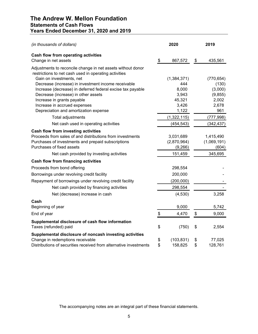# **The Andrew W. Mellon Foundation Statements of Cash Flows Years Ended December 31, 2020 and 2019**

| (in thousands of dollars)                                                                                            | 2020             | 2019          |
|----------------------------------------------------------------------------------------------------------------------|------------------|---------------|
| Cash flow from operating activities<br>Change in net assets                                                          | \$<br>867,572    | \$<br>435,561 |
|                                                                                                                      |                  |               |
| Adjustments to reconcile change in net assets without donor<br>restrictions to net cash used in operating activities |                  |               |
| Gain on investments, net                                                                                             | (1, 384, 371)    | (770, 654)    |
| Decrease (increase) in investment income receivable                                                                  | 444              | (130)         |
| Increase (decrease) in deferred federal excise tax payable                                                           | 8,000            | (3,000)       |
| Decrease (increase) in other assets                                                                                  | 3,943            | (9, 855)      |
| Increase in grants payable                                                                                           | 45,321           | 2,002         |
| Increase in accrued expenses                                                                                         | 3,426            | 2,678         |
| Depreciation and amortization expense                                                                                | 1,122            | 961           |
| Total adjustments                                                                                                    | (1,322,115)      | (777, 998)    |
| Net cash used in operating activities                                                                                | (454, 543)       | (342, 437)    |
| Cash flow from investing activities                                                                                  |                  |               |
| Proceeds from sales of and distributions from investments                                                            | 3,031,689        | 1,415,490     |
| Purchases of investments and prepaid subscriptions                                                                   | (2,870,964)      | (1,069,191)   |
| Purchases of fixed assets                                                                                            | (9,266)          | (604)         |
| Net cash provided by investing activities                                                                            | 151,459          | 345,695       |
| <b>Cash flow from financing activities</b>                                                                           |                  |               |
| Proceeds from bond offering                                                                                          | 298,554          |               |
| Borrowings under revolving credit facility                                                                           | 200,000          |               |
| Repayment of borrowings under revolving credit facility                                                              | (200,000)        |               |
| Net cash provided by financing activities                                                                            | 298,554          |               |
| Net (decrease) increase in cash                                                                                      | (4,530)          | 3,258         |
| Cash                                                                                                                 |                  |               |
| Beginning of year                                                                                                    | 9,000            | 5,742         |
| End of year                                                                                                          | \$<br>4,470      | \$<br>9,000   |
| Supplemental disclosure of cash flow information                                                                     |                  |               |
| Taxes (refunded) paid                                                                                                | \$<br>(750)      | \$<br>2,554   |
| Supplemental disclosure of noncash investing activities                                                              |                  |               |
| Change in redemptions receivable                                                                                     | \$<br>(103, 831) | \$<br>77,025  |
| Distributions of securities received from alternative investments                                                    | \$<br>158,825    | \$<br>128,761 |

The accompanying notes are an integral part of these financial statements.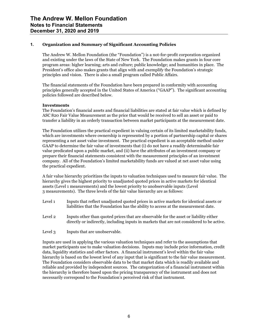## **1. Organization and Summary of Significant Accounting Policies**

The Andrew W. Mellon Foundation (the "Foundation") is a not-for-profit corporation organized and existing under the laws of the State of New York. The Foundation makes grants in four core program areas: higher learning; arts and culture; public knowledge; and humanities in place. The President's office also makes grants that align with and exemplify the Foundation's strategic principles and vision. There is also a small program called Public Affairs.

The financial statements of the Foundation have been prepared in conformity with accounting principles generally accepted in the United States of America ("GAAP"). The significant accounting policies followed are described below.

#### **Investments**

The Foundation's financial assets and financial liabilities are stated at fair value which is defined by ASC 820 Fair Value Measurement as the price that would be received to sell an asset or paid to transfer a liability in an orderly transaction between market participants at the measurement date.

The Foundation utilizes the practical expedient in valuing certain of its limited marketability funds, which are investments where ownership is represented by a portion of partnership capital or shares representing a net asset value investment. The practical expedient is an acceptable method under GAAP to determine the fair value of investments that (i) do not have a readily determinable fair value predicated upon a public market, and (ii) have the attributes of an investment company or prepare their financial statements consistent with the measurement principles of an investment company. All of the Foundation's limited marketability funds are valued at net asset value using the practical expedient.

A fair value hierarchy prioritizes the inputs to valuation techniques used to measure fair value. The hierarchy gives the highest priority to unadjusted quoted prices in active markets for identical assets (Level 1 measurements) and the lowest priority to unobservable inputs (Level 3 measurements). The three levels of the fair value hierarchy are as follows:

- Level 1 Inputs that reflect unadjusted quoted prices in active markets for identical assets or liabilities that the Foundation has the ability to access at the measurement date.
- Level 2 Inputs other than quoted prices that are observable for the asset or liability either directly or indirectly, including inputs in markets that are not considered to be active.

Level 3 Inputs that are unobservable.

Inputs are used in applying the various valuation techniques and refer to the assumptions that market participants use to make valuation decisions. Inputs may include price information, credit data, liquidity statistics and other factors. A financial instrument's level within the fair value hierarchy is based on the lowest level of any input that is significant to the fair value measurement. The Foundation considers observable data to be that market data which is readily available and reliable and provided by independent sources. The categorization of a financial instrument within the hierarchy is therefore based upon the pricing transparency of the instrument and does not necessarily correspond to the Foundation's perceived risk of that instrument.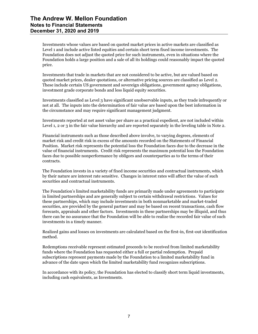Investments whose values are based on quoted market prices in active markets are classified as Level 1 and include active listed equities and certain short term fixed income investments. The Foundation does not adjust the quoted price for such instruments, even in situations where the Foundation holds a large position and a sale of all its holdings could reasonably impact the quoted price.

Investments that trade in markets that are not considered to be active, but are valued based on quoted market prices, dealer quotations, or alternative pricing sources are classified as Level 2. These include certain US government and sovereign obligations, government agency obligations, investment grade corporate bonds and less liquid equity securities.

Investments classified as Level 3 have significant unobservable inputs, as they trade infrequently or not at all. The inputs into the determination of fair value are based upon the best information in the circumstance and may require significant management judgment.

Investments reported at net asset value per share as a practical expedient, are not included within Level 1, 2 or 3 in the fair value hierarchy and are reported separately in the leveling table in Note 2.

Financial instruments such as those described above involve, to varying degrees, elements of market risk and credit risk in excess of the amounts recorded on the Statements of Financial Position. Market risk represents the potential loss the Foundation faces due to the decrease in the value of financial instruments. Credit risk represents the maximum potential loss the Foundation faces due to possible nonperformance by obligors and counterparties as to the terms of their contracts.

The Foundation invests in a variety of fixed income securities and contractual instruments, which by their nature are interest rate sensitive. Changes in interest rates will affect the value of such securities and contractual instruments.

The Foundation's limited marketability funds are primarily made under agreements to participate in limited partnerships and are generally subject to certain withdrawal restrictions. Values for these partnerships, which may include investments in both nonmarketable and market-traded securities, are provided by the general partner and may be based on recent transactions, cash flow forecasts, appraisals and other factors. Investments in these partnerships may be illiquid, and thus there can be no assurance that the Foundation will be able to realize the recorded fair value of such investments in a timely manner.

Realized gains and losses on investments are calculated based on the first-in, first-out identification method.

Redemptions receivable represent estimated proceeds to be received from limited marketability funds where the Foundation has requested either a full or partial redemption. Prepaid subscriptions represent payments made by the Foundation to a limited marketability fund in advance of the date upon which the limited marketability fund recognizes subscriptions.

In accordance with its policy, the Foundation has elected to classify short term liquid investments, including cash equivalents, as Investments.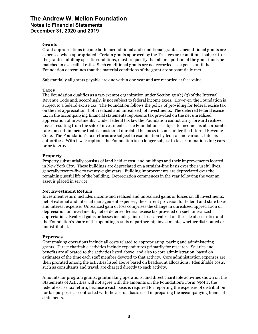#### **Grants**

Grant appropriations include both unconditional and conditional grants. Unconditional grants are expensed when appropriated. Certain grants approved by the Trustees are conditional subject to the grantee fulfilling specific conditions, most frequently that all or a portion of the grant funds be matched in a specified ratio. Such conditional grants are not recorded as expense until the Foundation determines that the material conditions of the grant are substantially met.

Substantially all grants payable are due within one year and are recorded at face value.

#### **Taxes**

The Foundation qualifies as a tax-exempt organization under Section 501(c) (3) of the Internal Revenue Code and, accordingly, is not subject to federal income taxes. However, the Foundation is subject to a federal excise tax. The Foundation follows the policy of providing for federal excise tax on the net appreciation (both realized and unrealized) of investments. The deferred federal excise tax in the accompanying financial statements represents tax provided on the net unrealized appreciation of investments. Under federal tax law the Foundation cannot carry forward realized losses resulting from the sale of investments. The Foundation is subject to income tax at corporate rates on certain income that is considered unrelated business income under the Internal Revenue Code. The Foundation's tax returns are subject to examination by federal and various state tax authorities. With few exceptions the Foundation is no longer subject to tax examinations for years prior to 2017.

#### **Property**

Property substantially consists of land held at cost, and buildings and their improvements located in New York City. These buildings are depreciated on a straight-line basis over their useful lives, generally twenty-five to twenty-eight years. Building improvements are depreciated over the remaining useful life of the building. Depreciation commences in the year following the year an asset is placed in service.

# **Net Investment Return**

Investment return includes income and realized and unrealized gains or losses on all investments, net of external and internal management expenses, the current provision for federal and state taxes and interest expense. Unrealized gain or loss comprises the change in unrealized appreciation or depreciation on investments, net of deferred federal excise tax provided on such unrealized appreciation. Realized gains or losses include gains or losses realized on the sale of securities and the Foundation's share of the operating results of partnership investments, whether distributed or undistributed.

# **Expenses**

Grantmaking operations include all costs related to appropriating, paying and administering grants. Direct charitable activities include expenditures primarily for research. Salaries and benefits are allocated to the activities listed above, and also to core administration, based on estimates of the time each staff member devoted to that activity. Core administration expenses are then prorated among the activities listed above based on headcount allocations. Identifiable costs, such as consultants and travel, are charged directly to each activity.

Amounts for program grants, grantmaking operations, and direct charitable activities shown on the Statements of Activities will not agree with the amounts on the Foundation's Form 990PF, the federal excise tax return, because a cash basis is required for reporting the expenses of distribution for tax purposes as contrasted with the accrual basis used in preparing the accompanying financial statements.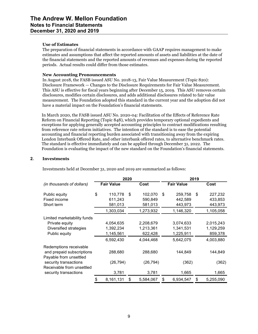#### **Use of Estimates**

The preparation of financial statements in accordance with GAAP requires management to make estimates and assumptions that affect the reported amounts of assets and liabilities at the date of the financial statements and the reported amounts of revenues and expenses during the reported periods. Actual results could differ from those estimates.

## **New Accounting Pronouncements**

In August 2018, the FASB issued ASU No. 2018-13, Fair Value Measurement (Topic 820): Disclosure Framework — Changes to the Disclosure Requirements for Fair Value Measurement. This ASU is effective for fiscal years beginning after December 15, 2019. This ASU removes certain disclosures, modifies certain disclosures, and adds additional disclosures related to fair value measurement. The Foundation adopted this standard in the current year and the adoption did not have a material impact on the Foundation's financial statements.

In March 2020, the FASB issued ASU No. 2020-04: Facilitation of the Effects of Reference Rate Reform on Financial Reporting (Topic 848), which provides temporary optional expedients and exceptions for applying generally accepted accounting principles to contract modifications resulting from reference rate reform initiatives. The intention of the standard is to ease the potential accounting and financial reporting burden associated with transitioning away from the expiring London Interbank Offered Rate, and other interbank offered rates, to alternative benchmark rates. The standard is effective immediately and can be applied through December 31, 2022. The Foundation is evaluating the impact of the new standard on the Foundation's financial statements.

## **2. Investments**

|                                                                                                                                     |                                                  | 2020 |                                                | 2019                                             |    |                                                |  |
|-------------------------------------------------------------------------------------------------------------------------------------|--------------------------------------------------|------|------------------------------------------------|--------------------------------------------------|----|------------------------------------------------|--|
| (in thousands of dollars)                                                                                                           | <b>Fair Value</b>                                |      | Cost                                           | <b>Fair Value</b>                                |    | Cost                                           |  |
| Public equity<br>Fixed income<br>Short term                                                                                         | \$<br>110,778<br>611,243<br>581,013              | \$   | 102,070<br>590,849<br>581,013                  | \$<br>259,758<br>442,589<br>443,973              | \$ | 227,232<br>433,853<br>443,973                  |  |
|                                                                                                                                     | 1,303,034                                        |      | 1,273,932                                      | 1,146,320                                        |    | 1,105,058                                      |  |
| Limited marketability funds<br>Private equity<br>Diversified strategies<br>Public equity                                            | 4,054,635<br>1,392,234<br>1,145,561<br>6,592,430 |      | 2,208,679<br>1,213,361<br>622,428<br>4,044,468 | 3,074,633<br>1,341,531<br>1,225,911<br>5,642,075 |    | 2,015,243<br>1,129,259<br>859,378<br>4,003,880 |  |
| Redemptions receivable<br>and prepaid subscriptions<br>Payable from unsettled<br>security transactions<br>Receivable from unsettled | 288,680<br>(26, 794)                             |      | 288,680<br>(26, 794)                           | 144,849<br>(362)                                 |    | 144,849<br>(362)                               |  |
| security transactions                                                                                                               | 3,781                                            |      | 3,781                                          | 1,665                                            |    | 1,665                                          |  |
|                                                                                                                                     | \$<br>8,161,131                                  | \$   | 5,584,067                                      | \$<br>6,934,547                                  | \$ | 5,255,090                                      |  |

Investments held at December 31, 2020 and 2019 are summarized as follows: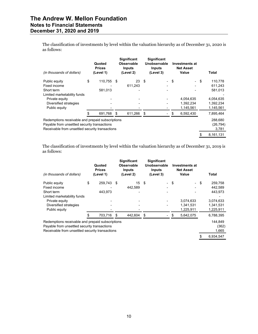# **The Andrew W. Mellon Foundation Notes to Financial Statements December 31, 2020 and 2019**

The classification of investments by level within the valuation hierarchy as of December 31, 2020 is as follows:

| (in thousands of dollars)                                                                                                                           | Quoted<br><b>Prices</b><br>(Level 1) |     | <b>Significant</b><br>Observable<br>Inputs<br>(Level 2) | <b>Significant</b><br>Unobservable<br><b>Inputs</b><br>(Level 3) |      | <b>Investments at</b><br><b>Net Asset</b><br>Value | Total                         |
|-----------------------------------------------------------------------------------------------------------------------------------------------------|--------------------------------------|-----|---------------------------------------------------------|------------------------------------------------------------------|------|----------------------------------------------------|-------------------------------|
| Public equity                                                                                                                                       | \$<br>110,755                        | -\$ | 23                                                      | \$                                                               | - \$ | $\overline{\phantom{a}}$                           | \$<br>110,778                 |
| Fixed income                                                                                                                                        |                                      |     | 611.243                                                 |                                                                  |      |                                                    | 611,243                       |
| Short term                                                                                                                                          | 581,013                              |     |                                                         |                                                                  |      |                                                    | 581,013                       |
| Limited marketability funds                                                                                                                         |                                      |     |                                                         |                                                                  |      |                                                    |                               |
| Private equity                                                                                                                                      |                                      |     |                                                         |                                                                  |      | 4,054,635                                          | 4,054,635                     |
| Diversified strategies                                                                                                                              |                                      |     |                                                         |                                                                  |      | 1,392,234                                          | 1,392,234                     |
| Public equity                                                                                                                                       |                                      |     |                                                         |                                                                  |      | 1,145,561                                          | 1,145,561                     |
|                                                                                                                                                     | 691,768                              | S   | 611,266                                                 | \$                                                               | \$   | 6,592,430                                          | 7,895,464                     |
| Redemptions receivable and prepaid subscriptions<br>Payable from unsettled security transactions<br>Receivable from unsettled security transactions |                                      |     |                                                         |                                                                  |      |                                                    | 288,680<br>(26, 794)<br>3,781 |
|                                                                                                                                                     |                                      |     |                                                         |                                                                  |      |                                                    | \$<br>8.161.131               |

The classification of investments by level within the valuation hierarchy as of December 31, 2019 is as follows:

| (in thousands of dollars)                        |     | Quoted<br><b>Prices</b><br>(Level 1) | <b>Significant</b><br><b>Observable</b><br><b>Inputs</b><br>(Level 2) |     | <b>Significant</b><br>Unobservable<br><b>Inputs</b><br>(Level 3) |    | <b>Investments at</b><br><b>Net Asset</b><br>Value | Total           |
|--------------------------------------------------|-----|--------------------------------------|-----------------------------------------------------------------------|-----|------------------------------------------------------------------|----|----------------------------------------------------|-----------------|
| Public equity                                    | \$  | 259,743                              | \$<br>15                                                              | -\$ |                                                                  | \$ | ۰.                                                 | \$<br>259,758   |
| Fixed income                                     |     |                                      | 442.589                                                               |     |                                                                  |    |                                                    | 442,589         |
| Short term                                       |     | 443.973                              |                                                                       |     |                                                                  |    |                                                    | 443,973         |
| Limited marketability funds                      |     |                                      |                                                                       |     |                                                                  |    |                                                    |                 |
| Private equity                                   |     |                                      |                                                                       |     |                                                                  |    | 3,074,633                                          | 3,074,633       |
| Diversified strategies                           |     |                                      |                                                                       |     |                                                                  |    | 1,341,531                                          | 1,341,531       |
| Public equity                                    |     |                                      |                                                                       |     |                                                                  |    | 1,225,911                                          | 1,225,911       |
|                                                  | \$. | 703,716                              | \$<br>442,604                                                         | \$  |                                                                  | S  | 5,642,075                                          | 6,788,395       |
| Redemptions receivable and prepaid subscriptions |     |                                      |                                                                       |     |                                                                  |    |                                                    | 144,849         |
| Payable from unsettled security transactions     |     |                                      |                                                                       |     |                                                                  |    |                                                    | (362)           |
| Receivable from unsettled security transactions  |     |                                      |                                                                       |     |                                                                  |    |                                                    | 1,665           |
|                                                  |     |                                      |                                                                       |     |                                                                  |    |                                                    | \$<br>6,934,547 |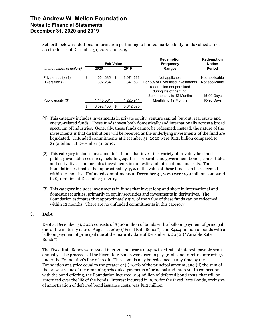Set forth below is additional information pertaining to limited marketability funds valued at net asset value as of December 31, 2020 and 2019:

|                           | <b>Fair Value</b> |    |           | <b>Redemption</b><br><b>Frequency</b>                                                     | <b>Redemption</b><br><b>Notice</b> |
|---------------------------|-------------------|----|-----------|-------------------------------------------------------------------------------------------|------------------------------------|
| (in thousands of dollars) | 2020              |    | 2019      | Ranges                                                                                    | Period                             |
| Private equity (1)        | \$<br>4,054,635   | -S | 3,074,633 | Not applicable                                                                            | Not applicable                     |
| Diversified (2)           | 1,392,234         |    | 1,341,531 | For 8% of Diversified investments<br>redemption not permitted<br>during life of the fund. | Not applicable                     |
|                           |                   |    |           | Semi-monthly to 12 Months                                                                 | 15-90 Days                         |
| Public equity (3)         | 1,145,561         |    | 1,225,911 | Monthly to 12 Months                                                                      | 10-90 Days                         |
|                           | \$<br>6.592.430   | \$ | 5.642.075 |                                                                                           |                                    |

- (1) This category includes investments in private equity, venture capital, buyout, real estate and energy-related funds. These funds invest both domestically and internationally across a broad spectrum of industries. Generally, these funds cannot be redeemed; instead, the nature of the investments is that distributions will be received as the underlying investments of the fund are liquidated. Unfunded commitments at December 31, 2020 were \$1.21 billion compared to \$1.31 billion at December 31, 2019.
- (2) This category includes investments in funds that invest in a variety of privately held and publicly available securities, including equities, corporate and government bonds, convertibles and derivatives, and includes investments in domestic and international markets. The Foundation estimates that approximately 49% of the value of these funds can be redeemed within 12 months. Unfunded commitments at December 31, 2020 were \$39 million compared to \$51 million at December 31, 2019.
- (3) This category includes investments in funds that invest long and short in international and domestic securities, primarily in equity securities and investments in derivatives. The Foundation estimates that approximately 91% of the value of these funds can be redeemed within 12 months. There are no unfunded commitments in this category.

# **3. Debt**

Debt at December 31, 2020 consists of \$300 million of bonds with a balloon payment of principal due at the maturity date of August 1, 2027 ("Fixed Rate Bonds") and \$44.4 million of bonds with a balloon payment of principal due at the maturity date of December 1, 2032 ("Variable Rate Bonds").

The Fixed Rate Bonds were issued in 2020 and bear a 0.947% fixed rate of interest, payable semiannually. The proceeds of the Fixed Rate Bonds were used to pay grants and to retire borrowings under the Foundation's line of credit. These bonds may be redeemed at any time by the Foundation at a price equal to the greater of (i) 100% of the principal amount, and (ii) the sum of the present value of the remaining scheduled payments of principal and interest. In connection with the bond offering, the Foundation incurred \$1.4 million of deferred bond costs, that will be amortized over the life of the bonds. Interest incurred in 2020 for the Fixed Rate Bonds, exclusive of amortization of deferred bond issuance costs, was \$1.2 million.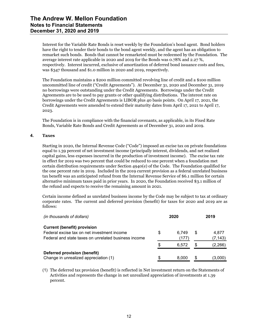Interest for the Variable Rate Bonds is reset weekly by the Foundation's bond agent. Bond holders have the right to tender their bonds to the bond agent weekly, and the agent has an obligation to remarket such bonds. Bonds that cannot be remarketed must be redeemed by the Foundation. The average interest rate applicable in 2020 and 2019 for the Bonds was 0.78% and 2.27 %, respectively. Interest incurred, exclusive of amortization of deferred bond issuance costs and fees, was \$347 thousand and \$1.0 million in 2020 and 2019, respectively.

The Foundation maintains a \$200 million committed revolving line of credit and a \$100 million uncommitted line of credit ("Credit Agreements"). At December 31, 2020 and December 31, 2019 no borrowings were outstanding under the Credit Agreements. Borrowings under the Credit Agreements are to be used to pay grants or other qualifying distributions. The interest rate on borrowings under the Credit Agreements is LIBOR plus 40 basis points. On April 17, 2021, the Credit Agreements were amended to extend their maturity dates from April 17, 2021 to April 17, 2023.

The Foundation is in compliance with the financial covenants, as applicable, in its Fixed Rate Bonds, Variable Rate Bonds and Credit Agreements as of December 31, 2020 and 2019.

# **4. Taxes**

Starting in 2020, the Internal Revenue Code ("Code") imposed an excise tax on private foundations equal to 1.39 percent of net investment income (principally interest, dividends, and net realized capital gains, less expenses incurred in the production of investment income). The excise tax rate in effect for 2019 was two percent that could be reduced to one percent when a foundation met certain distribution requirements under Section 4940(e) of the Code. The Foundation qualified for the one percent rate in 2019. Included in the 2019 current provision as a federal unrelated business tax benefit was an anticipated refund from the Internal Revenue Service of \$6.1 million for certain alternative minimum taxes paid in prior years. In 2020, the Foundation received \$3.1 million of the refund and expects to receive the remaining amount in 2021.

Certain income defined as unrelated business income by the Code may be subject to tax at ordinary corporate rates. The current and deferred provision (benefit) for taxes for 2020 and 2019 are as follows:

| (in thousands of dollars)                                                                                                                 |    | 2020           |    | 2019              |
|-------------------------------------------------------------------------------------------------------------------------------------------|----|----------------|----|-------------------|
| <b>Current (benefit) provision</b><br>Federal excise tax on net investment income<br>Federal and state taxes on unrelated business income |    | 6.749<br>(177) | \$ | 4,877<br>(7, 143) |
|                                                                                                                                           | S. | 6.572          | S  | (2,266)           |
| Deferred provision (benefit)<br>Change in unrealized appreciation (1)                                                                     |    | 8.000          | S  | (3,000)           |

(1) The deferred tax provision (benefit) is reflected in Net investment return on the Statements of Activities and represents the change in net unrealized appreciation of investments at 1.39 percent.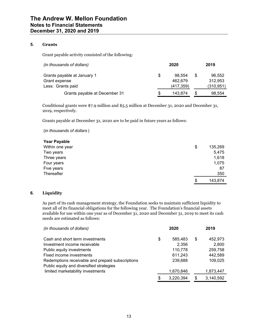# **5. Grants**

Grant payable activity consisted of the following:

| (in thousands of dollars)     |   | 2020       |    | 2019       |
|-------------------------------|---|------------|----|------------|
| Grants payable at January 1   | S | 98.554     | S  | 96,552     |
| Grant expense                 |   | 462.679    |    | 312.953    |
| Less: Grants paid             |   | (417, 359) |    | (310, 951) |
| Grants payable at December 31 |   | 143.874    | \$ | 98.554     |

Conditional grants were \$7.9 million and \$5.5 million at December 31, 2020 and December 31, 2019, respectively.

Grants payable at December 31, 2020 are to be paid in future years as follows:

(*in thousands of dollars* )

| <b>Year Payable</b> |               |
|---------------------|---------------|
| Within one year     | \$<br>135,269 |
| Two years           | 5,475         |
| Three years         | 1,618         |
| Four years          | 1,075         |
| Five years          | 87            |
| Thereafter          | 350           |
|                     | \$<br>143,874 |

# **6. Liquidity**

As part of its cash management strategy, the Foundation seeks to maintain sufficient liquidity to meet all of its financial obligations for the following year. The Foundation's financial assets available for use within one year as of December 31, 2020 and December 31, 2019 to meet its cash needs are estimated as follows:

| (in thousands of dollars)                        | 2020            |   | 2019      |
|--------------------------------------------------|-----------------|---|-----------|
| Cash and short term investments                  | \$<br>585,483   | S | 452,973   |
| Investment income receivable                     | 2.356           |   | 2,800     |
| Public equity investments                        | 110,778         |   | 259,758   |
| Fixed income investments                         | 611,243         |   | 442,589   |
| Redemptions receivable and prepaid subscriptions | 239,688         |   | 109,025   |
| Public equity and diversified strategies         |                 |   |           |
| limited marketability investments                | 1,670,846       |   | 1,873,447 |
|                                                  | \$<br>3.220.394 | S | 3,140,592 |